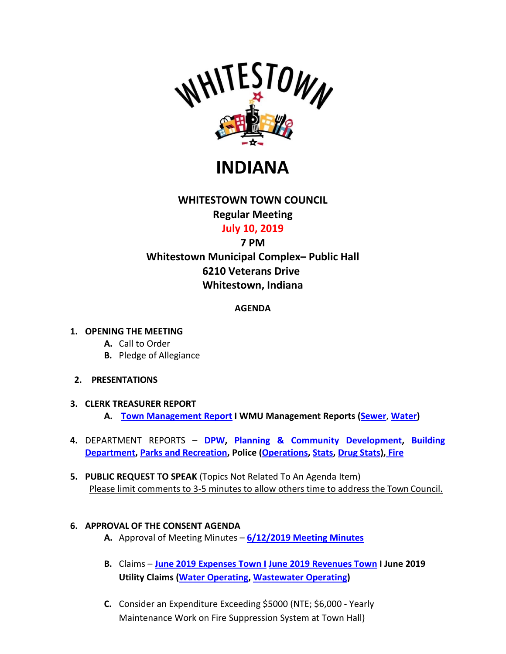

**INDIANA**

# **WHITESTOWN TOWN COUNCIL Regular Meeting July 10, 2019**

# **7 PM**

# **Whitestown Municipal Complex– Public Hall 6210 Veterans Drive Whitestown, Indiana**

## **AGENDA**

### **1. OPENING THE MEETING**

- **A.** Call to Order
- **B.** Pledge of Allegiance
- **2. PRESENTATIONS**
- **3. CLERK TREASURER REPORT**
	- **A. [Town Management Report](http://whitestown.in.gov/vertical/sites/%7BB8BE8AC3-9DE8-4247-BCB0-1173F48CC7C3%7D/uploads/2019_Town_of_Whitestown_Management_Report_(June).pdf) I WMU Management Reports [\(Sewer](http://whitestown.in.gov/vertical/sites/%7BB8BE8AC3-9DE8-4247-BCB0-1173F48CC7C3%7D/uploads/WMU_Management_Report_-_June_2019_(SEWER).pdf)**, **[Water\)](http://whitestown.in.gov/vertical/sites/%7BB8BE8AC3-9DE8-4247-BCB0-1173F48CC7C3%7D/uploads/WMU_Management_Report_-_June_2019_(WATER).pdf)**
- **4.** DEPARTMENT REPORTS **[DPW,](http://whitestown.in.gov/vertical/sites/%7BB8BE8AC3-9DE8-4247-BCB0-1173F48CC7C3%7D/uploads/June_2019_DPW_Report.pdf) [Planning & Community Development,](http://whitestown.in.gov/vertical/sites/%7BB8BE8AC3-9DE8-4247-BCB0-1173F48CC7C3%7D/uploads/June_2019_Planning__Community_Development_Report.pdf) [Building](http://whitestown.in.gov/vertical/sites/%7BB8BE8AC3-9DE8-4247-BCB0-1173F48CC7C3%7D/uploads/June_2019_Building_Dept_Report.pdf)  [Department,](http://whitestown.in.gov/vertical/sites/%7BB8BE8AC3-9DE8-4247-BCB0-1173F48CC7C3%7D/uploads/June_2019_Building_Dept_Report.pdf) [Parks and Recreation,](http://whitestown.in.gov/vertical/sites/%7BB8BE8AC3-9DE8-4247-BCB0-1173F48CC7C3%7D/uploads/June_2019_Parks_Report.pdf) Police [\(Operations,](http://whitestown.in.gov/vertical/sites/%7BB8BE8AC3-9DE8-4247-BCB0-1173F48CC7C3%7D/uploads/June_2019_WMPD_Report.pdf) [Stats,](http://whitestown.in.gov/vertical/sites/%7BB8BE8AC3-9DE8-4247-BCB0-1173F48CC7C3%7D/uploads/June_2019_WMPD_Statistical_Data.pdf) [Drug Stats\)](http://whitestown.in.gov/vertical/sites/%7BB8BE8AC3-9DE8-4247-BCB0-1173F48CC7C3%7D/uploads/June_2019_WMPD_Drug_Stats.pdf), [Fire](http://whitestown.in.gov/vertical/sites/%7BB8BE8AC3-9DE8-4247-BCB0-1173F48CC7C3%7D/uploads/June_2019_WFD_Report.pdf)**
- **5. PUBLIC REQUEST TO SPEAK** (Topics Not Related To An Agenda Item) Please limit comments to 3-5 minutes to allow others time to address the Town Council.

## **6. APPROVAL OF THE CONSENT AGENDA**

- **A.** Approval of Meeting Minutes **6/12/2019 [Meeting Minutes](http://whitestown.in.gov/vertical/sites/%7BB8BE8AC3-9DE8-4247-BCB0-1173F48CC7C3%7D/uploads/6-12-19_Town_Council_Meeting_Minutes.pdf)**
- **B.** Claims **[June 2019 Expenses Town I](http://whitestown.in.gov/vertical/sites/%7BB8BE8AC3-9DE8-4247-BCB0-1173F48CC7C3%7D/uploads/June_2019_Disbursements.pdf) June 2019 [Revenues Town](http://whitestown.in.gov/vertical/sites/%7BB8BE8AC3-9DE8-4247-BCB0-1173F48CC7C3%7D/uploads/June_2019_Fee_Receipts.pdf) I June 2019 Utility Claims [\(Water Operating,](http://whitestown.in.gov/vertical/sites/%7BB8BE8AC3-9DE8-4247-BCB0-1173F48CC7C3%7D/uploads/Water_Operating_Claims_Docket_7.10.19.pdf) [Wastewater Operating\)](http://whitestown.in.gov/vertical/sites/%7BB8BE8AC3-9DE8-4247-BCB0-1173F48CC7C3%7D/uploads/Sewer_Operating_Claims_Docket_7.10.19.pdf)**
- **C.** Consider an Expenditure Exceeding \$5000 (NTE; \$6,000 Yearly Maintenance Work on Fire Suppression System at Town Hall)